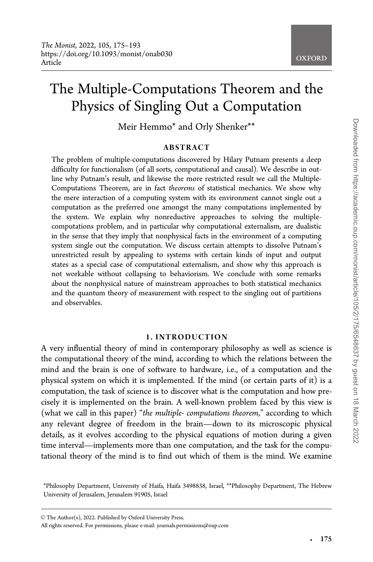# The Multiple-Computations Theorem and the Physics of Singling Out a Computation

Meir Hemmo\* and Orly Shenker\*\*

### ABSTRACT

The problem of multiple-computations discovered by Hilary Putnam presents a deep difficulty for functionalism (of all sorts, computational and causal). We describe in outline why Putnam's result, and likewise the more restricted result we call the Multiple-Computations Theorem, are in fact theorems of statistical mechanics. We show why the mere interaction of a computing system with its environment cannot single out a computation as the preferred one amongst the many computations implemented by the system. We explain why nonreductive approaches to solving the multiplecomputations problem, and in particular why computational externalism, are dualistic in the sense that they imply that nonphysical facts in the environment of a computing system single out the computation. We discuss certain attempts to dissolve Putnam's unrestricted result by appealing to systems with certain kinds of input and output states as a special case of computational externalism, and show why this approach is not workable without collapsing to behaviorism. We conclude with some remarks about the nonphysical nature of mainstream approaches to both statistical mechanics and the quantum theory of measurement with respect to the singling out of partitions and observables.

#### 1. INTRODUCTION

A very influential theory of mind in contemporary philosophy as well as science is the computational theory of the mind, according to which the relations between the mind and the brain is one of software to hardware, i.e., of a computation and the physical system on which it is implemented. If the mind (or certain parts of it) is a computation, the task of science is to discover what is the computation and how precisely it is implemented on the brain. A well-known problem faced by this view is (what we call in this paper) "the multiple-computations theorem," according to which any relevant degree of freedom in the brain—down to its microscopic physical details, as it evolves according to the physical equations of motion during a given time interval—implements more than one computation, and the task for the computational theory of the mind is to find out which of them is the mind. We examine

-

<sup>\*</sup>Philosophy Department, University of Haifa, Haifa 3498838, Israel, \*\*Philosophy Department, The Hebrew University of Jerusalem, Jerusalem 91905, Israel

 $\odot$  The Author(s), 2022. Published by Oxford University Press.

All rights reserved. For permissions, please e-mail: journals.permissions@oup.com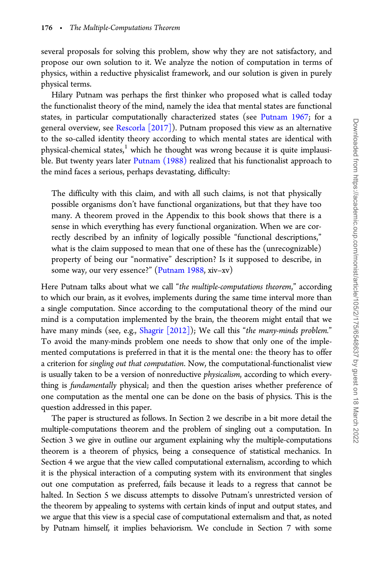several proposals for solving this problem, show why they are not satisfactory, and propose our own solution to it. We analyze the notion of computation in terms of physics, within a reductive physicalist framework, and our solution is given in purely physical terms.

Hilary Putnam was perhaps the first thinker who proposed what is called today the functionalist theory of the mind, namely the idea that mental states are functional states, in particular computationally characterized states (see [Putnam 1967](#page-18-0); for a general overview, see [Rescorla \[2017\]](#page-18-0)). Putnam proposed this view as an alternative to the so-called identity theory according to which mental states are identical with physical-chemical states, $1$  which he thought was wrong because it is quite implausi-ble. But twenty years later [Putnam \(1988\)](#page-18-0) realized that his functionalist approach to the mind faces a serious, perhaps devastating, difficulty:

The difficulty with this claim, and with all such claims, is not that physically possible organisms don't have functional organizations, but that they have too many. A theorem proved in the Appendix to this book shows that there is a sense in which everything has every functional organization. When we are correctly described by an infinity of logically possible "functional descriptions," what is the claim supposed to mean that one of these has the (unrecognizable) property of being our "normative" description? Is it supposed to describe, in some way, our very essence?" [\(Putnam 1988,](#page-18-0) xiv–xv)

Here Putnam talks about what we call "the multiple-computations theorem," according to which our brain, as it evolves, implements during the same time interval more than a single computation. Since according to the computational theory of the mind our mind is a computation implemented by the brain, the theorem might entail that we have many minds (see, e.g., [Shagrir \[2012\]\)](#page-18-0); We call this "the many-minds problem." To avoid the many-minds problem one needs to show that only one of the implemented computations is preferred in that it is the mental one: the theory has to offer a criterion for singling out that computation. Now, the computational-functionalist view is usually taken to be a version of nonreductive physicalism, according to which everything is fundamentally physical; and then the question arises whether preference of one computation as the mental one can be done on the basis of physics. This is the question addressed in this paper.

The paper is structured as follows. In Section 2 we describe in a bit more detail the multiple-computations theorem and the problem of singling out a computation. In Section 3 we give in outline our argument explaining why the multiple-computations theorem is a theorem of physics, being a consequence of statistical mechanics. In Section 4 we argue that the view called computational externalism, according to which it is the physical interaction of a computing system with its environment that singles out one computation as preferred, fails because it leads to a regress that cannot be halted. In Section 5 we discuss attempts to dissolve Putnam's unrestricted version of the theorem by appealing to systems with certain kinds of input and output states, and we argue that this view is a special case of computational externalism and that, as noted by Putnam himself, it implies behaviorism. We conclude in Section 7 with some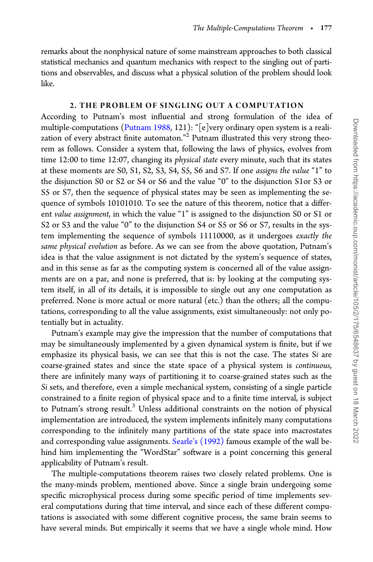remarks about the nonphysical nature of some mainstream approaches to both classical statistical mechanics and quantum mechanics with respect to the singling out of partitions and observables, and discuss what a physical solution of the problem should look like.

### 2. THE PROBLEM OF SINGLING OUT A COMPUTATION

According to Putnam's most influential and strong formulation of the idea of multiple-computations ([Putnam 1988,](#page-18-0) 121): "[e]very ordinary open system is a realization of every abstract finite automaton."2 Putnam illustrated this very strong theorem as follows. Consider a system that, following the laws of physics, evolves from time 12:00 to time 12:07, changing its *physical state* every minute, such that its states at these moments are S0, S1, S2, S3, S4, S5, S6 and S7. If one assigns the value "1" to the disjunction S0 or S2 or S4 or S6 and the value "0" to the disjunction S1or S3 or S5 or S7, then the sequence of physical states may be seen as implementing the sequence of symbols 10101010. To see the nature of this theorem, notice that a different value assignment, in which the value "1" is assigned to the disjunction S0 or S1 or S2 or S3 and the value "0" to the disjunction S4 or S5 or S6 or S7, results in the system implementing the sequence of symbols 11110000, as it undergoes exactly the same physical evolution as before. As we can see from the above quotation, Putnam's idea is that the value assignment is not dictated by the system's sequence of states, and in this sense as far as the computing system is concerned all of the value assignments are on a par, and none is preferred, that is: by looking at the computing system itself, in all of its details, it is impossible to single out any one computation as preferred. None is more actual or more natural (etc.) than the others; all the computations, corresponding to all the value assignments, exist simultaneously: not only potentially but in actuality.

Putnam's example may give the impression that the number of computations that may be simultaneously implemented by a given dynamical system is finite, but if we emphasize its physical basis, we can see that this is not the case. The states Si are coarse-grained states and since the state space of a physical system is continuous, there are infinitely many ways of partitioning it to coarse-grained states such as the Si sets, and therefore, even a simple mechanical system, consisting of a single particle constrained to a finite region of physical space and to a finite time interval, is subject to Putnam's strong result.<sup>3</sup> Unless additional constraints on the notion of physical implementation are introduced, the system implements infinitely many computations corresponding to the infinitely many partitions of the state space into macrostates and corresponding value assignments. [Searle's \(1992\)](#page-18-0) famous example of the wall behind him implementing the "WordStar" software is a point concerning this general applicability of Putnam's result.

The multiple-computations theorem raises two closely related problems. One is the many-minds problem, mentioned above. Since a single brain undergoing some specific microphysical process during some specific period of time implements several computations during that time interval, and since each of these different computations is associated with some different cognitive process, the same brain seems to have several minds. But empirically it seems that we have a single whole mind. How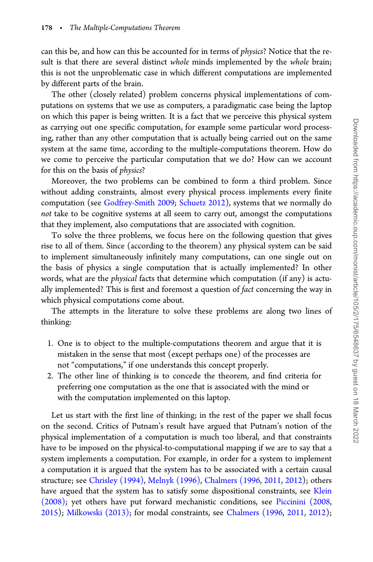can this be, and how can this be accounted for in terms of physics? Notice that the result is that there are several distinct whole minds implemented by the whole brain; this is not the unproblematic case in which different computations are implemented by different parts of the brain.

The other (closely related) problem concerns physical implementations of computations on systems that we use as computers, a paradigmatic case being the laptop on which this paper is being written. It is a fact that we perceive this physical system as carrying out one specific computation, for example some particular word processing, rather than any other computation that is actually being carried out on the same system at the same time, according to the multiple-computations theorem. How do we come to perceive the particular computation that we do? How can we account for this on the basis of physics?

Moreover, the two problems can be combined to form a third problem. Since without adding constraints, almost every physical process implements every finite computation (see [Godfrey-Smith 2009](#page-16-0); [Schuetz 2012](#page-18-0)), systems that we normally do not take to be cognitive systems at all seem to carry out, amongst the computations that they implement, also computations that are associated with cognition.

To solve the three problems, we focus here on the following question that gives rise to all of them. Since (according to the theorem) any physical system can be said to implement simultaneously infinitely many computations, can one single out on the basis of physics a single computation that is actually implemented? In other words, what are the physical facts that determine which computation (if any) is actually implemented? This is first and foremost a question of fact concerning the way in which physical computations come about.

The attempts in the literature to solve these problems are along two lines of thinking:

- 1. One is to object to the multiple-computations theorem and argue that it is mistaken in the sense that most (except perhaps one) of the processes are not "computations," if one understands this concept properly.
- 2. The other line of thinking is to concede the theorem, and find criteria for preferring one computation as the one that is associated with the mind or with the computation implemented on this laptop.

Let us start with the first line of thinking; in the rest of the paper we shall focus on the second. Critics of Putnam's result have argued that Putnam's notion of the physical implementation of a computation is much too liberal, and that constraints have to be imposed on the physical-to-computational mapping if we are to say that a system implements a computation. For example, in order for a system to implement a computation it is argued that the system has to be associated with a certain causal structure; see [Chrisley \(1994\)](#page-16-0), [Melnyk \(1996\)](#page-17-0), [Chalmers \(1996](#page-16-0), [2011,](#page-16-0) [2012](#page-16-0)); others have argued that the system has to satisfy some dispositional constraints, see [Klein](#page-17-0) [\(2008\)](#page-17-0); yet others have put forward mechanistic conditions, see [Piccinini \(2008](#page-17-0), [2015](#page-17-0)); [Milkowski \(2013\)](#page-17-0); for modal constraints, see [Chalmers \(1996,](#page-16-0) [2011,](#page-16-0) [2012\)](#page-16-0);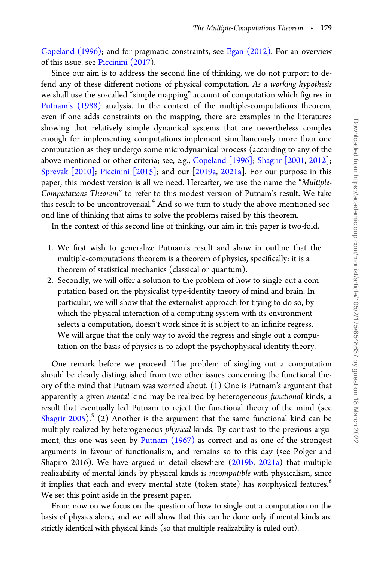[Copeland \(1996\)](#page-16-0); and for pragmatic constraints, see [Egan \(2012\).](#page-16-0) For an overview of this issue, see [Piccinini \(2017\)](#page-17-0).

Since our aim is to address the second line of thinking, we do not purport to defend any of these different notions of physical computation. As a working hypothesis we shall use the so-called "simple mapping" account of computation which figures in [Putnam's \(1988\)](#page-18-0) analysis. In the context of the multiple-computations theorem, even if one adds constraints on the mapping, there are examples in the literatures showing that relatively simple dynamical systems that are nevertheless complex enough for implementing computations implement simultaneously more than one computation as they undergo some microdynamical process (according to any of the above-mentioned or other criteria; see, e.g., [Copeland \[1996\];](#page-16-0) [Shagrir \[2001](#page-18-0), [2012\]](#page-18-0); [Sprevak \[2010\];](#page-18-0) [Piccinini \[2015\];](#page-17-0) and our [[2019a,](#page-17-0) [2021a\]](#page-17-0). For our purpose in this paper, this modest version is all we need. Hereafter, we use the name the "Multiple-Computations Theorem" to refer to this modest version of Putnam's result. We take this result to be uncontroversial. $4$  And so we turn to study the above-mentioned second line of thinking that aims to solve the problems raised by this theorem.

In the context of this second line of thinking, our aim in this paper is two-fold.

- 1. We first wish to generalize Putnam's result and show in outline that the multiple-computations theorem is a theorem of physics, specifically: it is a theorem of statistical mechanics (classical or quantum).
- 2. Secondly, we will offer a solution to the problem of how to single out a computation based on the physicalist type-identity theory of mind and brain. In particular, we will show that the externalist approach for trying to do so, by which the physical interaction of a computing system with its environment selects a computation, doesn't work since it is subject to an infinite regress. We will argue that the only way to avoid the regress and single out a computation on the basis of physics is to adopt the psychophysical identity theory.

One remark before we proceed. The problem of singling out a computation should be clearly distinguished from two other issues concerning the functional theory of the mind that Putnam was worried about. (1) One is Putnam's argument that apparently a given mental kind may be realized by heterogeneous functional kinds, a result that eventually led Putnam to reject the functional theory of the mind (see Shagrir  $2005$ ).<sup>5</sup> (2) Another is the argument that the same functional kind can be multiply realized by heterogeneous physical kinds. By contrast to the previous argument, this one was seen by [Putnam \(1967\)](#page-18-0) as correct and as one of the strongest arguments in favour of functionalism, and remains so to this day (see Polger and Shapiro 2016). We have argued in detail elsewhere ([2019b,](#page-17-0) [2021a\)](#page-17-0) that multiple realizability of mental kinds by physical kinds is incompatible with physicalism, since it implies that each and every mental state (token state) has nonphysical features.<sup>6</sup> We set this point aside in the present paper.

From now on we focus on the question of how to single out a computation on the basis of physics alone, and we will show that this can be done only if mental kinds are strictly identical with physical kinds (so that multiple realizability is ruled out).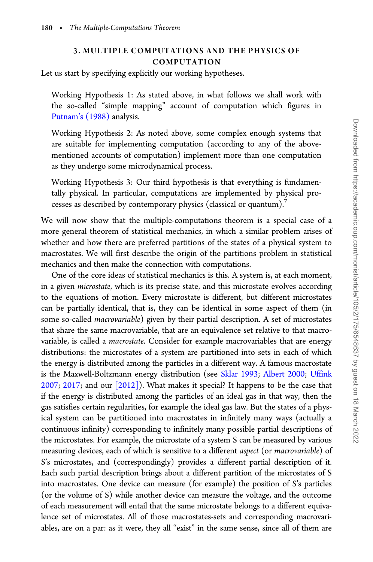# 3. MULTIPLE COMPUTATIONS AND THE PHYSICS OF COMPUTATION

Let us start by specifying explicitly our working hypotheses.

Working Hypothesis 1: As stated above, in what follows we shall work with the so-called "simple mapping" account of computation which figures in [Putnam's \(1988\)](#page-18-0) analysis.

Working Hypothesis 2: As noted above, some complex enough systems that are suitable for implementing computation (according to any of the abovementioned accounts of computation) implement more than one computation as they undergo some microdynamical process.

Working Hypothesis 3: Our third hypothesis is that everything is fundamentally physical. In particular, computations are implemented by physical processes as described by contemporary physics (classical or quantum).<sup>7</sup>

We will now show that the multiple-computations theorem is a special case of a more general theorem of statistical mechanics, in which a similar problem arises of whether and how there are preferred partitions of the states of a physical system to macrostates. We will first describe the origin of the partitions problem in statistical mechanics and then make the connection with computations.

One of the core ideas of statistical mechanics is this. A system is, at each moment, in a given microstate, which is its precise state, and this microstate evolves according to the equations of motion. Every microstate is different, but different microstates can be partially identical, that is, they can be identical in some aspect of them (in some so-called *macrovariable*) given by their partial description. A set of microstates that share the same macrovariable, that are an equivalence set relative to that macrovariable, is called a macrostate. Consider for example macrovariables that are energy distributions: the microstates of a system are partitioned into sets in each of which the energy is distributed among the particles in a different way. A famous macrostate is the Maxwell-Boltzmann energy distribution (see [Sklar 1993;](#page-18-0) [Albert 2000](#page-16-0); [Uffink](#page-18-0) [2007](#page-18-0); [2017;](#page-18-0) and our [\[2012\]](#page-17-0)). What makes it special? It happens to be the case that if the energy is distributed among the particles of an ideal gas in that way, then the gas satisfies certain regularities, for example the ideal gas law. But the states of a physical system can be partitioned into macrostates in infinitely many ways (actually a continuous infinity) corresponding to infinitely many possible partial descriptions of the microstates. For example, the microstate of a system S can be measured by various measuring devices, each of which is sensitive to a different aspect (or macrovariable) of S's microstates, and (correspondingly) provides a different partial description of it. Each such partial description brings about a different partition of the microstates of S into macrostates. One device can measure (for example) the position of S's particles (or the volume of S) while another device can measure the voltage, and the outcome of each measurement will entail that the same microstate belongs to a different equivalence set of microstates. All of those macrostates-sets and corresponding macrovariables, are on a par: as it were, they all "exist" in the same sense, since all of them are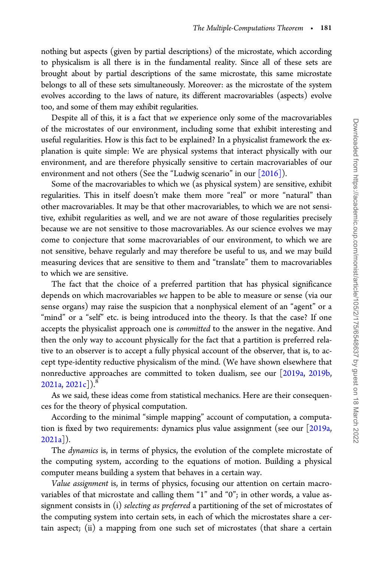nothing but aspects (given by partial descriptions) of the microstate, which according to physicalism is all there is in the fundamental reality. Since all of these sets are brought about by partial descriptions of the same microstate, this same microstate belongs to all of these sets simultaneously. Moreover: as the microstate of the system evolves according to the laws of nature, its different macrovariables (aspects) evolve too, and some of them may exhibit regularities.

Despite all of this, it is a fact that we experience only some of the macrovariables of the microstates of our environment, including some that exhibit interesting and useful regularities. How is this fact to be explained? In a physicalist framework the explanation is quite simple: We are physical systems that interact physically with our environment, and are therefore physically sensitive to certain macrovariables of our environment and not others (See the "Ludwig scenario" in our [\[2016\]](#page-17-0)).

Some of the macrovariables to which we (as physical system) are sensitive, exhibit regularities. This in itself doesn't make them more "real" or more "natural" than other macrovariables. It may be that other macrovariables, to which we are not sensitive, exhibit regularities as well, and we are not aware of those regularities precisely because we are not sensitive to those macrovariables. As our science evolves we may come to conjecture that some macrovariables of our environment, to which we are not sensitive, behave regularly and may therefore be useful to us, and we may build measuring devices that are sensitive to them and "translate" them to macrovariables to which we are sensitive.

The fact that the choice of a preferred partition that has physical significance depends on which macrovariables we happen to be able to measure or sense (via our sense organs) may raise the suspicion that a nonphysical element of an "agent" or a "mind" or a "self" etc. is being introduced into the theory. Is that the case? If one accepts the physicalist approach one is committed to the answer in the negative. And then the only way to account physically for the fact that a partition is preferred relative to an observer is to accept a fully physical account of the observer, that is, to accept type-identity reductive physicalism of the mind. (We have shown elsewhere that nonreductive approaches are committed to token dualism, see our [[2019a,](#page-17-0) [2019b](#page-17-0),  $2021a, 2021c$  $2021a, 2021c$ ).

As we said, these ideas come from statistical mechanics. Here are their consequences for the theory of physical computation.

According to the minimal "simple mapping" account of computation, a computation is fixed by two requirements: dynamics plus value assignment (see our [[2019a](#page-17-0), [2021a](#page-17-0)]).

The dynamics is, in terms of physics, the evolution of the complete microstate of the computing system, according to the equations of motion. Building a physical computer means building a system that behaves in a certain way.

Value assignment is, in terms of physics, focusing our attention on certain macrovariables of that microstate and calling them "1" and "0"; in other words, a value assignment consists in (i) selecting as preferred a partitioning of the set of microstates of the computing system into certain sets, in each of which the microstates share a certain aspect; (ii) a mapping from one such set of microstates (that share a certain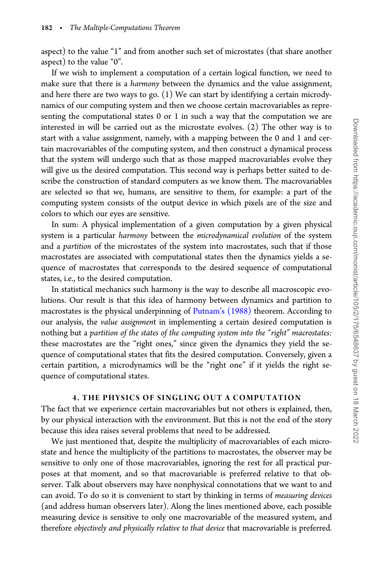aspect) to the value "1" and from another such set of microstates (that share another aspect) to the value "0".

If we wish to implement a computation of a certain logical function, we need to make sure that there is a *harmony* between the dynamics and the value assignment, and here there are two ways to go. (1) We can start by identifying a certain microdynamics of our computing system and then we choose certain macrovariables as representing the computational states 0 or 1 in such a way that the computation we are interested in will be carried out as the microstate evolves. (2) The other way is to start with a value assignment, namely, with a mapping between the 0 and 1 and certain macrovariables of the computing system, and then construct a dynamical process that the system will undergo such that as those mapped macrovariables evolve they will give us the desired computation. This second way is perhaps better suited to describe the construction of standard computers as we know them. The macrovariables are selected so that we, humans, are sensitive to them, for example: a part of the computing system consists of the output device in which pixels are of the size and colors to which our eyes are sensitive.

In sum: A physical implementation of a given computation by a given physical system is a particular harmony between the microdynamical evolution of the system and a partition of the microstates of the system into macrostates, such that if those macrostates are associated with computational states then the dynamics yields a sequence of macrostates that corresponds to the desired sequence of computational states, i.e., to the desired computation.

In statistical mechanics such harmony is the way to describe all macroscopic evolutions. Our result is that this idea of harmony between dynamics and partition to macrostates is the physical underpinning of Putnam's  $(1988)$  theorem. According to our analysis, the value assignment in implementing a certain desired computation is nothing but a partition of the states of the computing system into the "right" macrostates: these macrostates are the "right ones," since given the dynamics they yield the sequence of computational states that fits the desired computation. Conversely, given a certain partition, a microdynamics will be the "right one" if it yields the right sequence of computational states.

## 4. THE PHYSICS OF SINGLING OUT A COMPUTATION

The fact that we experience certain macrovariables but not others is explained, then, by our physical interaction with the environment. But this is not the end of the story because this idea raises several problems that need to be addressed.

We just mentioned that, despite the multiplicity of macrovariables of each microstate and hence the multiplicity of the partitions to macrostates, the observer may be sensitive to only one of those macrovariables, ignoring the rest for all practical purposes at that moment, and so that macrovariable is preferred relative to that observer. Talk about observers may have nonphysical connotations that we want to and can avoid. To do so it is convenient to start by thinking in terms of measuring devices (and address human observers later). Along the lines mentioned above, each possible measuring device is sensitive to only one macrovariable of the measured system, and therefore objectively and physically relative to that device that macrovariable is preferred.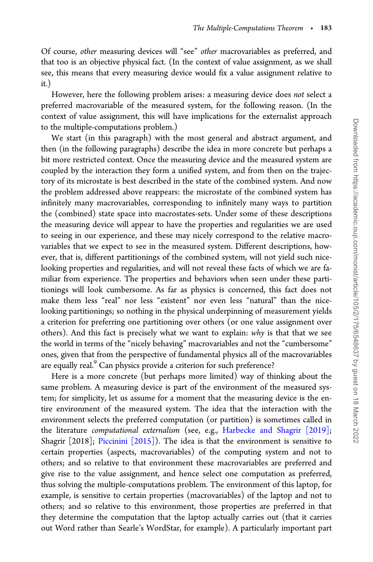Of course, other measuring devices will "see" other macrovariables as preferred, and that too is an objective physical fact. (In the context of value assignment, as we shall see, this means that every measuring device would fix a value assignment relative to it.)

However, here the following problem arises: a measuring device does not select a preferred macrovariable of the measured system, for the following reason. (In the context of value assignment, this will have implications for the externalist approach to the multiple-computations problem.)

We start (in this paragraph) with the most general and abstract argument, and then (in the following paragraphs) describe the idea in more concrete but perhaps a bit more restricted context. Once the measuring device and the measured system are coupled by the interaction they form a unified system, and from then on the trajectory of its microstate is best described in the state of the combined system. And now the problem addressed above reappears: the microstate of the combined system has infinitely many macrovariables, corresponding to infinitely many ways to partition the (combined) state space into macrostates-sets. Under some of these descriptions the measuring device will appear to have the properties and regularities we are used to seeing in our experience, and these may nicely correspond to the relative macrovariables that we expect to see in the measured system. Different descriptions, however, that is, different partitionings of the combined system, will not yield such nicelooking properties and regularities, and will not reveal these facts of which we are familiar from experience. The properties and behaviors when seen under these partitionings will look cumbersome. As far as physics is concerned, this fact does not make them less "real" nor less "existent" nor even less "natural" than the nicelooking partitionings; so nothing in the physical underpinning of measurement yields a criterion for preferring one partitioning over others (or one value assignment over others). And this fact is precisely what we want to explain: why is that that we see the world in terms of the "nicely behaving" macrovariables and not the "cumbersome" ones, given that from the perspective of fundamental physics all of the macrovariables are equally real.<sup>9</sup> Can physics provide a criterion for such preference?

Here is a more concrete (but perhaps more limited) way of thinking about the same problem. A measuring device is part of the environment of the measured system; for simplicity, let us assume for a moment that the measuring device is the entire environment of the measured system. The idea that the interaction with the environment selects the preferred computation (or partition) is sometimes called in the literature computational externalism (see, e.g., [Harbecke and Shagrir \[2019\];](#page-17-0) Shagrir [2018]; [Piccinini \[2015\]\)](#page-17-0). The idea is that the environment is sensitive to certain properties (aspects, macrovariables) of the computing system and not to others; and so relative to that environment these macrovariables are preferred and give rise to the value assignment, and hence select one computation as preferred, thus solving the multiple-computations problem. The environment of this laptop, for example, is sensitive to certain properties (macrovariables) of the laptop and not to others; and so relative to this environment, those properties are preferred in that they determine the computation that the laptop actually carries out (that it carries out Word rather than Searle's WordStar, for example). A particularly important part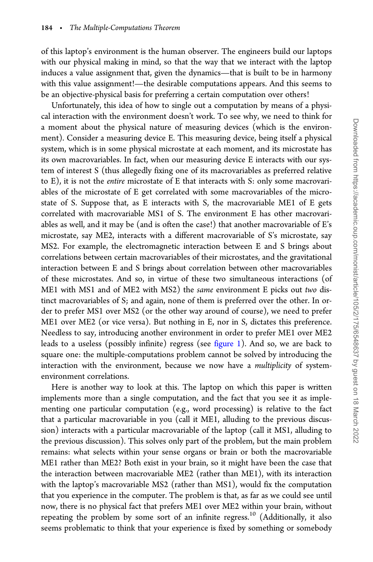of this laptop's environment is the human observer. The engineers build our laptops with our physical making in mind, so that the way that we interact with the laptop induces a value assignment that, given the dynamics—that is built to be in harmony with this value assignment!—the desirable computations appears. And this seems to be an objective-physical basis for preferring a certain computation over others!

Unfortunately, this idea of how to single out a computation by means of a physical interaction with the environment doesn't work. To see why, we need to think for a moment about the physical nature of measuring devices (which is the environment). Consider a measuring device E. This measuring device, being itself a physical system, which is in some physical microstate at each moment, and its microstate has its own macrovariables. In fact, when our measuring device E interacts with our system of interest S (thus allegedly fixing one of its macrovariables as preferred relative to E), it is not the entire microstate of E that interacts with S: only some macrovariables of the microstate of E get correlated with some macrovariables of the microstate of S. Suppose that, as E interacts with S, the macrovariable ME1 of E gets correlated with macrovariable MS1 of S. The environment E has other macrovariables as well, and it may be (and is often the case!) that another macrovariable of E's microstate, say ME2, interacts with a different macrovariable of S's microstate, say MS2. For example, the electromagnetic interaction between E and S brings about correlations between certain macrovariables of their microstates, and the gravitational interaction between E and S brings about correlation between other macrovariables of these microstates. And so, in virtue of these two simultaneous interactions (of ME1 with MS1 and of ME2 with MS2) the same environment E picks out two distinct macrovariables of S; and again, none of them is preferred over the other. In order to prefer MS1 over MS2 (or the other way around of course), we need to prefer ME1 over ME2 (or vice versa). But nothing in E, nor in S, dictates this preference. Needless to say, introducing another environment in order to prefer ME1 over ME2 leads to a useless (possibly infinite) regress (see [figure 1\)](#page-10-0). And so, we are back to square one: the multiple-computations problem cannot be solved by introducing the interaction with the environment, because we now have a *multiplicity* of systemenvironment correlations.

Here is another way to look at this. The laptop on which this paper is written implements more than a single computation, and the fact that you see it as implementing one particular computation (e.g., word processing) is relative to the fact that a particular macrovariable in you (call it ME1, alluding to the previous discussion) interacts with a particular macrovariable of the laptop (call it MS1, alluding to the previous discussion). This solves only part of the problem, but the main problem remains: what selects within your sense organs or brain or both the macrovariable ME1 rather than ME2? Both exist in your brain, so it might have been the case that the interaction between macrovariable ME2 (rather than ME1), with its interaction with the laptop's macrovariable MS2 (rather than MS1), would fix the computation that you experience in the computer. The problem is that, as far as we could see until now, there is no physical fact that prefers ME1 over ME2 within your brain, without repeating the problem by some sort of an infinite regress.<sup>10</sup> (Additionally, it also seems problematic to think that your experience is fixed by something or somebody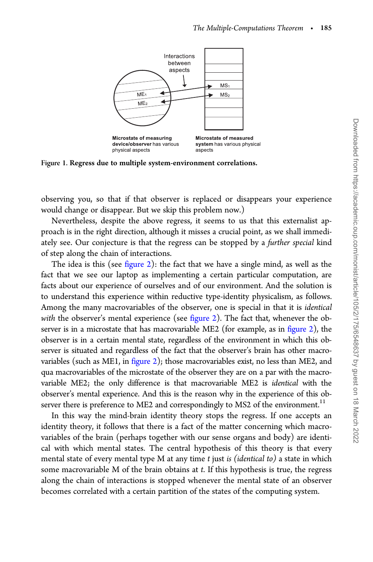<span id="page-10-0"></span>

Figure 1. Regress due to multiple system-environment correlations.

observing you, so that if that observer is replaced or disappears your experience would change or disappear. But we skip this problem now.)

Nevertheless, despite the above regress, it seems to us that this externalist approach is in the right direction, although it misses a crucial point, as we shall immediately see. Our conjecture is that the regress can be stopped by a further special kind of step along the chain of interactions.

The idea is this (see [figure 2\)](#page-11-0): the fact that we have a single mind, as well as the fact that we see our laptop as implementing a certain particular computation, are facts about our experience of ourselves and of our environment. And the solution is to understand this experience within reductive type-identity physicalism, as follows. Among the many macrovariables of the observer, one is special in that it is identical with the observer's mental experience (see [figure 2](#page-11-0)). The fact that, whenever the observer is in a microstate that has macrovariable ME2 (for example, as in [figure 2\)](#page-11-0), the observer is in a certain mental state, regardless of the environment in which this observer is situated and regardless of the fact that the observer's brain has other macrovariables (such as ME1, in [figure 2](#page-11-0)); those macrovariables exist, no less than ME2, and qua macrovariables of the microstate of the observer they are on a par with the macrovariable ME2; the only difference is that macrovariable ME2 is identical with the observer's mental experience. And this is the reason why in the experience of this observer there is preference to ME2 and correspondingly to MS2 of the environment.<sup>11</sup>

In this way the mind-brain identity theory stops the regress. If one accepts an identity theory, it follows that there is a fact of the matter concerning which macrovariables of the brain (perhaps together with our sense organs and body) are identical with which mental states. The central hypothesis of this theory is that every mental state of every mental type M at any time  $t$  just is (identical to) a state in which some macrovariable M of the brain obtains at t. If this hypothesis is true, the regress along the chain of interactions is stopped whenever the mental state of an observer becomes correlated with a certain partition of the states of the computing system.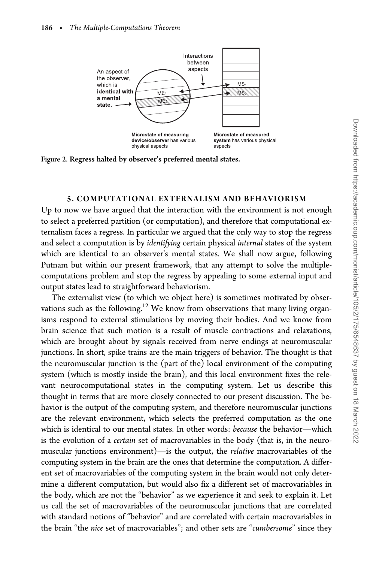<span id="page-11-0"></span>

Figure 2. Regress halted by observer's preferred mental states.

#### 5. COMPUTATIONAL EXTERNALISM AND BEHAVIORISM

Up to now we have argued that the interaction with the environment is not enough to select a preferred partition (or computation), and therefore that computational externalism faces a regress. In particular we argued that the only way to stop the regress and select a computation is by identifying certain physical internal states of the system which are identical to an observer's mental states. We shall now argue, following Putnam but within our present framework, that any attempt to solve the multiplecomputations problem and stop the regress by appealing to some external input and output states lead to straightforward behaviorism.

The externalist view (to which we object here) is sometimes motivated by observations such as the following.<sup>12</sup> We know from observations that many living organisms respond to external stimulations by moving their bodies. And we know from brain science that such motion is a result of muscle contractions and relaxations, which are brought about by signals received from nerve endings at neuromuscular junctions. In short, spike trains are the main triggers of behavior. The thought is that the neuromuscular junction is the (part of the) local environment of the computing system (which is mostly inside the brain), and this local environment fixes the relevant neurocomputational states in the computing system. Let us describe this thought in terms that are more closely connected to our present discussion. The behavior is the output of the computing system, and therefore neuromuscular junctions are the relevant environment, which selects the preferred computation as the one which is identical to our mental states. In other words: because the behavior—which is the evolution of a certain set of macrovariables in the body (that is, in the neuromuscular junctions environment)—is the output, the relative macrovariables of the computing system in the brain are the ones that determine the computation. A different set of macrovariables of the computing system in the brain would not only determine a different computation, but would also fix a different set of macrovariables in the body, which are not the "behavior" as we experience it and seek to explain it. Let us call the set of macrovariables of the neuromuscular junctions that are correlated with standard notions of "behavior" and are correlated with certain macrovariables in the brain "the nice set of macrovariables"; and other sets are "cumbersome" since they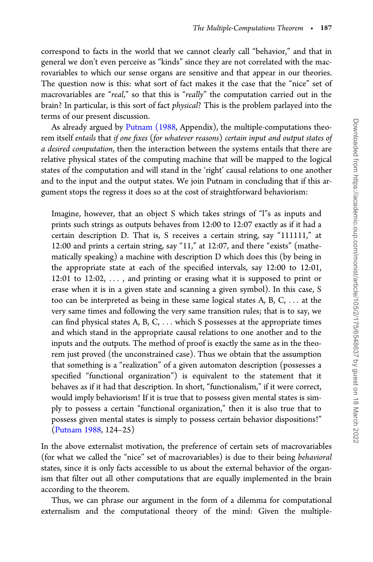correspond to facts in the world that we cannot clearly call "behavior," and that in general we don't even perceive as "kinds" since they are not correlated with the macrovariables to which our sense organs are sensitive and that appear in our theories. The question now is this: what sort of fact makes it the case that the "nice" set of macrovariables are "real," so that this is "really" the computation carried out in the brain? In particular, is this sort of fact physical? This is the problem parlayed into the terms of our present discussion.

As already argued by [Putnam \(1988,](#page-18-0) Appendix), the multiple-computations theorem itself entails that if one fixes (for whatever reasons) certain input and output states of a desired computation, then the interaction between the systems entails that there are relative physical states of the computing machine that will be mapped to the logical states of the computation and will stand in the 'right' causal relations to one another and to the input and the output states. We join Putnam in concluding that if this argument stops the regress it does so at the cost of straightforward behaviorism:

Imagine, however, that an object S which takes strings of "l"s as inputs and prints such strings as outputs behaves from 12:00 to 12:07 exactly as if it had a certain description D. That is, S receives a certain string, say "111111," at 12:00 and prints a certain string, say "11," at 12:07, and there "exists" (mathematically speaking) a machine with description D which does this (by being in the appropriate state at each of the specified intervals, say 12:00 to 12:01, 12:01 to 12:02, ... , and printing or erasing what it is supposed to print or erase when it is in a given state and scanning a given symbol). In this case, S too can be interpreted as being in these same logical states A, B, C, ... at the very same times and following the very same transition rules; that is to say, we can find physical states A, B, C, ... which S possesses at the appropriate times and which stand in the appropriate causal relations to one another and to the inputs and the outputs. The method of proof is exactly the same as in the theorem just proved (the unconstrained case). Thus we obtain that the assumption that something is a "realization" of a given automaton description (possesses a specified "functional organization") is equivalent to the statement that it behaves as if it had that description. In short, "functionalism," if it were correct, would imply behaviorism! If it is true that to possess given mental states is simply to possess a certain "functional organization," then it is also true that to possess given mental states is simply to possess certain behavior dispositions!" ([Putnam 1988,](#page-18-0) 124–25)

In the above externalist motivation, the preference of certain sets of macrovariables (for what we called the "nice" set of macrovariables) is due to their being behavioral states, since it is only facts accessible to us about the external behavior of the organism that filter out all other computations that are equally implemented in the brain according to the theorem.

Thus, we can phrase our argument in the form of a dilemma for computational externalism and the computational theory of the mind: Given the multiple-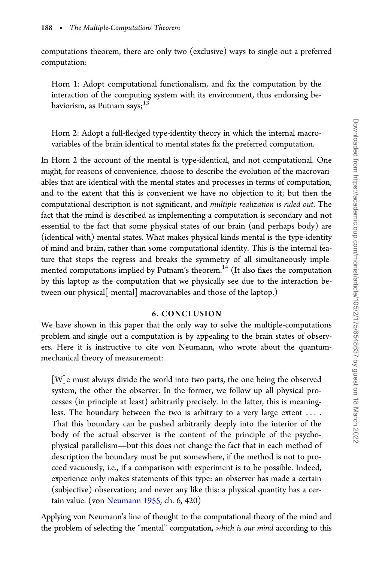Downloaded from https://academic.oup.com/monist/article/105/2/175/6548637 by guest on 18 March 2022 Downloaded from https://academic.oup.com/monist/article/105/2/175/6548637 by guest on 18 March 2022

computations theorem, there are only two (exclusive) ways to single out a preferred computation:

Horn 1: Adopt computational functionalism, and fix the computation by the interaction of the computing system with its environment, thus endorsing behaviorism, as Putnam says; $13$ 

Horn 2: Adopt a full-fledged type-identity theory in which the internal macrovariables of the brain identical to mental states fix the preferred computation.

In Horn 2 the account of the mental is type-identical, and not computational. One might, for reasons of convenience, choose to describe the evolution of the macrovariables that are identical with the mental states and processes in terms of computation, and to the extent that this is convenient we have no objection to it; but then the computational description is not significant, and multiple realization is ruled out. The fact that the mind is described as implementing a computation is secondary and not essential to the fact that some physical states of our brain (and perhaps body) are (identical with) mental states. What makes physical kinds mental is the type-identity of mind and brain, rather than some computational identity. This is the internal feature that stops the regress and breaks the symmetry of all simultaneously implemented computations implied by Putnam's theorem.<sup>14</sup> (It also fixes the computation by this laptop as the computation that we physically see due to the interaction between our physical[-mental] macrovariables and those of the laptop.)

## 6. CONCLUSION

We have shown in this paper that the only way to solve the multiple-computations problem and single out a computation is by appealing to the brain states of observers. Here it is instructive to cite von Neumann, who wrote about the quantummechanical theory of measurement:

[W]e must always divide the world into two parts, the one being the observed system, the other the observer. In the former, we follow up all physical processes (in principle at least) arbitrarily precisely. In the latter, this is meaningless. The boundary between the two is arbitrary to a very large extent ... . That this boundary can be pushed arbitrarily deeply into the interior of the body of the actual observer is the content of the principle of the psychophysical parallelism—but this does not change the fact that in each method of description the boundary must be put somewhere, if the method is not to proceed vacuously, i.e., if a comparison with experiment is to be possible. Indeed, experience only makes statements of this type: an observer has made a certain (subjective) observation; and never any like this: a physical quantity has a certain value. (von [Neumann 1955](#page-18-0), ch. 6, 420)

Applying von Neumann's line of thought to the computational theory of the mind and the problem of selecting the "mental" computation, which is our mind according to this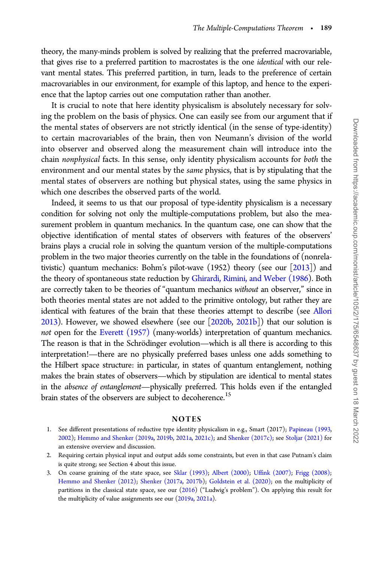theory, the many-minds problem is solved by realizing that the preferred macrovariable, that gives rise to a preferred partition to macrostates is the one identical with our relevant mental states. This preferred partition, in turn, leads to the preference of certain macrovariables in our environment, for example of this laptop, and hence to the experience that the laptop carries out one computation rather than another.

It is crucial to note that here identity physicalism is absolutely necessary for solving the problem on the basis of physics. One can easily see from our argument that if the mental states of observers are not strictly identical (in the sense of type-identity) to certain macrovariables of the brain, then von Neumann's division of the world into observer and observed along the measurement chain will introduce into the chain nonphysical facts. In this sense, only identity physicalism accounts for both the environment and our mental states by the same physics, that is by stipulating that the mental states of observers are nothing but physical states, using the same physics in which one describes the observed parts of the world.

Indeed, it seems to us that our proposal of type-identity physicalism is a necessary condition for solving not only the multiple-computations problem, but also the measurement problem in quantum mechanics. In the quantum case, one can show that the objective identification of mental states of observers with features of the observers' brains plays a crucial role in solving the quantum version of the multiple-computations problem in the two major theories currently on the table in the foundations of (nonrelativistic) quantum mechanics: Bohm's pilot-wave  $(1952)$  theory (see our  $[2013]$  $[2013]$ ) and the theory of spontaneous state reduction by [Ghirardi, Rimini, and Weber \(1986](#page-16-0)). Both are correctly taken to be theories of "quantum mechanics without an observer," since in both theories mental states are not added to the primitive ontology, but rather they are identical with features of the brain that these theories attempt to describe (see [Allori](#page-16-0) [2013](#page-16-0)). However, we showed elsewhere (see our [[2020b,](#page-17-0) [2021b\]](#page-17-0)) that our solution is not open for the [Everett \(1957\)](#page-16-0) (many-worlds) interpretation of quantum mechanics. The reason is that in the Schrödinger evolution—which is all there is according to this interpretation!—there are no physically preferred bases unless one adds something to the Hilbert space structure: in particular, in states of quantum entanglement, nothing makes the brain states of observers—which by stipulation are identical to mental states in the absence of entanglement—physically preferred. This holds even if the entangled brain states of the observers are subject to decoherence.<sup>15</sup>

#### **NOTES**

- 1. See different presentations of reductive type identity physicalism in e.g., Smart (2017); [Papineau \(1993,](#page-17-0) [2002](#page-17-0)); [Hemmo and Shenker \(2019a,](#page-17-0) [2019b,](#page-17-0) [2021a,](#page-17-0) [2021c\)](#page-17-0); and [Shenker \(2017c\);](#page-18-0) see [Stoljar \(2021\)](#page-18-0) for an extensive overview and discussion.
- 2. Requiring certain physical input and output adds some constraints, but even in that case Putnam's claim is quite strong; see Section 4 about this issue.
- 3. On coarse graining of the state space, see [Sklar \(1993\)](#page-18-0); [Albert \(2000\);](#page-16-0) [Uffink \(2007\)](#page-18-0); [Frigg \(2008\)](#page-16-0); [Hemmo and Shenker \(2012\)](#page-17-0); [Shenker \(2017a,](#page-18-0) [2017b\)](#page-18-0); [Goldstein et al. \(2020\);](#page-17-0) on the multiplicity of partitions in the classical state space, see our [\(2016](#page-17-0)) ("Ludwig's problem"). On applying this result for the multiplicity of value assignments see our [\(2019a,](#page-17-0) [2021a](#page-17-0)).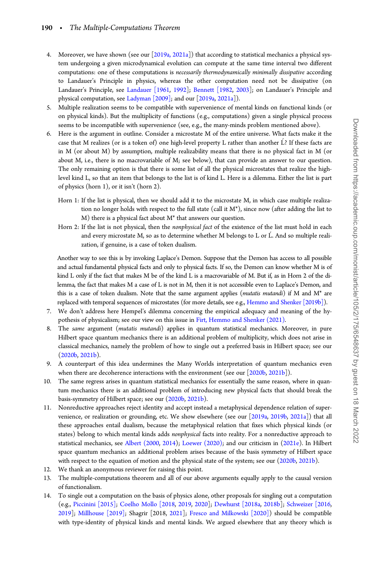- 4. Moreover, we have shown (see our [[2019a, 2021a\]](#page-16-0)) that according to statistical mechanics a physical system undergoing a given microdynamical evolution can compute at the same time interval two different computations: one of these computations is necessarily thermodynamically minimally dissipative according to Landauer's Principle in physics, whereas the other computation need not be dissipative (on Landauer's Principle, see [Landauer \[1961,](#page-17-0) [1992](#page-17-0)]; [Bennett \[1982](#page-16-0), [2003\]](#page-16-0); on Landauer's Principle and physical computation, see [Ladyman \[2009\]](#page-17-0); and our [[2019a,](#page-17-0) [2021a\]](#page-17-0)).
- 5. Multiple realization seems to be compatible with supervenience of mental kinds on functional kinds (or on physical kinds). But the multiplicity of functions (e.g., computations) given a single physical process seems to be incompatible with supervenience (see, e.g., the many-minds problem mentioned above).
- 6. Here is the argument in outline. Consider a microstate M of the entire universe. What facts make it the case that M realizes (or is a token of) one high-level property L rather than another  $\acute{\rm L}$ ? If these facts are in M (or about M) by assumption, multiple realizability means that there is no physical fact in M (or about M, i.e., there is no macrovariable of M; see below), that can provide an answer to our question. The only remaining option is that there is some list of all the physical microstates that realize the highlevel kind L, so that an item that belongs to the list is of kind L. Here is a dilemma. Either the list is part of physics (horn 1), or it isn't (horn 2).
	- Horn 1: If the list is physical, then we should add it to the microstate M, in which case multiple realization no longer holds with respect to the full state (call it M\*), since now (after adding the list to M) there is a physical fact about M\* that answers our question.
	- Horn 2: If the list is not physical, then the nonphysical fact of the existence of the list must hold in each and every microstate M, so as to determine whether M belongs to L or L. And so multiple realization, if genuine, is a case of token dualism.

Another way to see this is by invoking Laplace's Demon. Suppose that the Demon has access to all possible and actual fundamental physical facts and only to physical facts. If so, the Demon can know whether M is of kind L only if the fact that makes M be of the kind L is a macrovariable of M. But if, as in Horn 2 of the dilemma, the fact that makes M a case of L is not in M, then it is not accessible even to Laplace's Demon, and this is a case of token dualism. Note that the same argument applies (mutatis mutandi) if M and M\* are replaced with temporal sequences of microstates (for more details, see e.g., [Hemmo and Shenker \[2019b\]\)](#page-17-0).

- 7. We don't address here Hempel's dilemma concerning the empirical adequacy and meaning of the hypothesis of physicalism; see our view on this issue in [Firt, Hemmo and Shenker \(2021\)](#page-16-0).
- 8. The same argument (mutatis mutandi) applies in quantum statistical mechanics. Moreover, in pure Hilbert space quantum mechanics there is an additional problem of multiplicity, which does not arise in classical mechanics, namely the problem of how to single out a preferred basis in Hilbert space; see our [\(2020b](#page-17-0), [2021b\)](#page-17-0).
- 9. A counterpart of this idea undermines the Many Worlds interpretation of quantum mechanics even when there are decoherence interactions with the environment (see our [\[2020b,](#page-17-0) [2021b](#page-17-0)]).
- 10. The same regress arises in quantum statistical mechanics for essentially the same reason, where in quantum mechanics there is an additional problem of introducing new physical facts that should break the basis-symmetry of Hilbert space; see our [\(2020b](#page-17-0), [2021b](#page-17-0)).
- 11. Nonreductive approaches reject identity and accept instead a metaphysical dependence relation of supervenience, or realization or grounding, etc. We show elsewhere (see our [[2019a,](#page-17-0) [2019b](#page-17-0), [2021a\]](#page-17-0)) that all these approaches entail dualism, because the metaphysical relation that fixes which physical kinds (or states) belong to which mental kinds adds nonphysical facts into reality. For a nonreductive approach to statistical mechanics, see [Albert \(2000,](#page-16-0) [2014\)](#page-16-0); [Loewer \(2020\);](#page-17-0) and our criticism in [\(2021e\)](#page-17-0). In Hilbert space quantum mechanics an additional problem arises because of the basis symmetry of Hilbert space with respect to the equation of motion and the physical state of the system; see our [\(2020b,](#page-17-0) [2021b](#page-17-0)).
- 12. We thank an anonymous reviewer for raising this point.
- 13. The multiple-computations theorem and all of our above arguments equally apply to the causal version of functionalism.
- 14. To single out a computation on the basis of physics alone, other proposals for singling out a computation (e.g., [Piccinini \[2015\];](#page-17-0) [Coelho Mollo \[2018,](#page-16-0) [2019,](#page-16-0) [2020](#page-16-0)]; [Dewhurst \[2018a,](#page-16-0) [2018b\]](#page-16-0); [Schweizer \[2016,](#page-18-0) [2019](#page-18-0)]; [Millhouse \[2019\]](#page-17-0); Shagrir [2018, [2021\]](#page-18-0); [Fresco and Milkowski \[2020\]\)](#page-16-0) should be compatible with type-identity of physical kinds and mental kinds. We argued elsewhere that any theory which is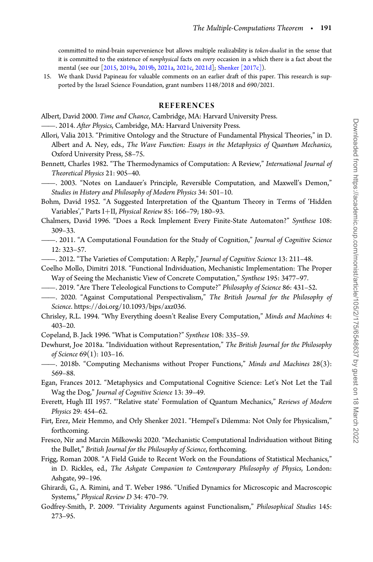<span id="page-16-0"></span>committed to mind-brain supervenience but allows multiple realizability is token-dualist in the sense that it is committed to the existence of nonphysical facts on every occasion in a which there is a fact about the mental (see our [[2015,](#page-17-0) [2019a](#page-17-0), [2019b,](#page-17-0) [2021a](#page-17-0), [2021c](#page-17-0), [2021d\]](#page-17-0); [Shenker \[2017c\]](#page-18-0)).

15. We thank David Papineau for valuable comments on an earlier draft of this paper. This research is supported by the Israel Science Foundation, grant numbers 1148/2018 and 690/2021.

#### REFERENCES

- Albert, David 2000. Time and Chance, Cambridge, MA: Harvard University Press.
- ——. 2014. After Physics, Cambridge, MA: Harvard University Press.
- Allori, Valia 2013. "Primitive Ontology and the Structure of Fundamental Physical Theories," in D. Albert and A. Ney, eds., The Wave Function: Essays in the Metaphysics of Quantum Mechanics, Oxford University Press, 58–75.
- Bennett, Charles 1982. "The Thermodynamics of Computation: A Review," International Journal of Theoretical Physics 21: 905–40.

——. 2003. "Notes on Landauer's Principle, Reversible Computation, and Maxwell's Demon," Studies in History and Philosophy of Modern Physics 34: 501–10.

Bohm, David 1952. "A Suggested Interpretation of the Quantum Theory in Terms of 'Hidden Variables'," Parts I+II, Physical Review 85: 166-79; 180-93.

- Chalmers, David 1996. "Does a Rock Implement Every Finite-State Automaton?" Synthese 108: 309–33.
	- ——. 2011. "A Computational Foundation for the Study of Cognition," Journal of Cognitive Science 12: 323–57.
- ——. 2012. "The Varieties of Computation: A Reply," Journal of Cognitive Science 13: 211–48.
- Coelho Mollo, Dimitri 2018. "Functional Individuation, Mechanistic Implementation: The Proper Way of Seeing the Mechanistic View of Concrete Computation," Synthese 195: 3477–97.
- ——. 2019. "Are There Teleological Functions to Compute?" Philosophy of Science 86: 431–52.
- ——. 2020. "Against Computational Perspectivalism," The British Journal for the Philosophy of Science.<https://doi.org/10.1093/bjps/axz036>.
- Chrisley, R.L. 1994. "Why Everything doesn't Realise Every Computation," Minds and Machines 4: 403–20.
- Copeland, B. Jack 1996. "What is Computation?" Synthese 108: 335–59.
- Dewhurst, Joe 2018a. "Individuation without Representation," The British Journal for the Philosophy of Science 69(1): 103–16.
- ——. 2018b. "Computing Mechanisms without Proper Functions," Minds and Machines 28(3): 569–88.
- Egan, Frances 2012. "Metaphysics and Computational Cognitive Science: Let's Not Let the Tail Wag the Dog," Journal of Cognitive Science 13: 39–49.
- Everett, Hugh III 1957. "'Relative state' Formulation of Quantum Mechanics," Reviews of Modern Physics 29: 454–62.
- Firt, Erez, Meir Hemmo, and Orly Shenker 2021. "Hempel's Dilemma: Not Only for Physicalism," forthcoming.
- Fresco, Nir and Marcin Milkowski 2020. "Mechanistic Computational Individuation without Biting the Bullet," British Journal for the Philosophy of Science, forthcoming.
- Frigg, Roman 2008. "A Field Guide to Recent Work on the Foundations of Statistical Mechanics," in D. Rickles, ed., The Ashgate Companion to Contemporary Philosophy of Physics, London: Ashgate, 99–196.
- Ghirardi, G., A. Rimini, and T. Weber 1986. "Unified Dynamics for Microscopic and Macroscopic Systems," Physical Review D 34: 470–79.
- Godfrey-Smith, P. 2009. "Triviality Arguments against Functionalism," Philosophical Studies 145: 273–95.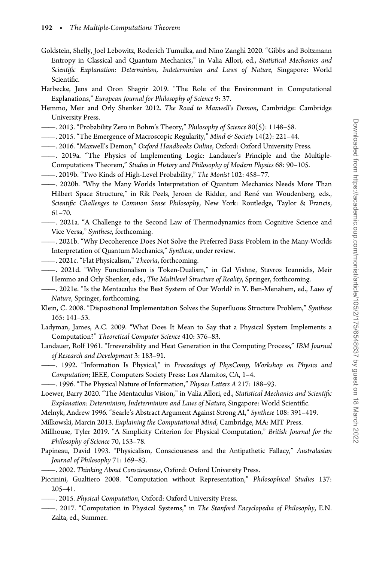- <span id="page-17-0"></span>Goldstein, Shelly, Joel Lebowitz, Roderich Tumulka, and Nino Zanghı 2020. "Gibbs and Boltzmann Entropy in Classical and Quantum Mechanics," in Valia Allori, ed., Statistical Mechanics and Scientific Explanation: Determinism, Indeterminism and Laws of Nature, Singapore: World Scientific.
- Harbecke, Jens and Oron Shagrir 2019. "The Role of the Environment in Computational Explanations," European Journal for Philosophy of Science 9: 37.
- Hemmo, Meir and Orly Shenker 2012. The Road to Maxwell's Demon, Cambridge: Cambridge University Press.
- ——. 2013. "Probability Zero in Bohm's Theory," Philosophy of Science 80(5): 1148–58.
- ——. 2015. "The Emergence of Macroscopic Regularity," Mind & Society 14(2): 221–44.
- ——. 2016. "Maxwell's Demon," Oxford Handbooks Online, Oxford: Oxford University Press.
- ——. 2019a. "The Physics of Implementing Logic: Landauer's Principle and the Multiple-Computations Theorem," Studies in History and Philosophy of Modern Physics 68: 90–105.
- ——. 2019b. "Two Kinds of High-Level Probability," The Monist 102: 458–77.
- ——. 2020b. "Why the Many Worlds Interpretation of Quantum Mechanics Needs More Than Hilbert Space Structure," in Rik Peels, Jeroen de Ridder, and René van Woudenberg, eds., Scientific Challenges to Common Sense Philosophy, New York: Routledge, Taylor & Francis, 61–70.
- ——. 2021a. "A Challenge to the Second Law of Thermodynamics from Cognitive Science and Vice Versa," Synthese, forthcoming.
- ——. 2021b. "Why Decoherence Does Not Solve the Preferred Basis Problem in the Many-Worlds Interpretation of Quantum Mechanics," Synthese, under review.
- ——. 2021c. "Flat Physicalism," Theoria, forthcoming.
- ——. 2021d. "Why Functionalism is Token-Dualism," in Gal Vishne, Stavros Ioannidis, Meir Hemmo and Orly Shenker, eds., The Multilevel Structure of Reality, Springer, forthcoming.
- ——. 2021e. "Is the Mentaculus the Best System of Our World? in Y. Ben-Menahem, ed., Laws of Nature, Springer, forthcoming.
- Klein, C. 2008. "Dispositional Implementation Solves the Superfluous Structure Problem," Synthese 165: 141–53.
- Ladyman, James, A.C. 2009. "What Does It Mean to Say that a Physical System Implements a Computation?" Theoretical Computer Science 410: 376–83.
- Landauer, Rolf 1961. "Irreversibility and Heat Generation in the Computing Process," IBM Journal of Research and Development 3: 183–91.
- ——. 1992. "Information Is Physical," in Proceedings of PhysComp, Workshop on Physics and Computation; IEEE, Computers Society Press: Los Alamitos, CA, 1–4.
	- -. 1996. "The Physical Nature of Information," Physics Letters A 217: 188-93.
- Loewer, Barry 2020. "The Mentaculus Vision," in Valia Allori, ed., Statistical Mechanics and Scientific Explanation: Determinism, Indeterminism and Laws of Nature, Singapore: World Scientific.
- Melnyk, Andrew 1996. "Searle's Abstract Argument Against Strong AI," Synthese 108: 391–419.
- Milkowski, Marcin 2013. Explaining the Computational Mind, Cambridge, MA: MIT Press.
- Millhouse, Tyler 2019. "A Simplicity Criterion for Physical Computation," British Journal for the Philosophy of Science 70, 153–78.
- Papineau, David 1993. "Physicalism, Consciousness and the Antipathetic Fallacy," Australasian Journal of Philosophy 71: 169–83.
- ——. 2002. Thinking About Consciousness, Oxford: Oxford University Press.
- Piccinini, Gualtiero 2008. "Computation without Representation," Philosophical Studies 137: 205–41.
- ——. 2015. Physical Computation, Oxford: Oxford University Press.
- ——. 2017. "Computation in Physical Systems," in The Stanford Encyclopedia of Philosophy, E.N. Zalta, ed., Summer.